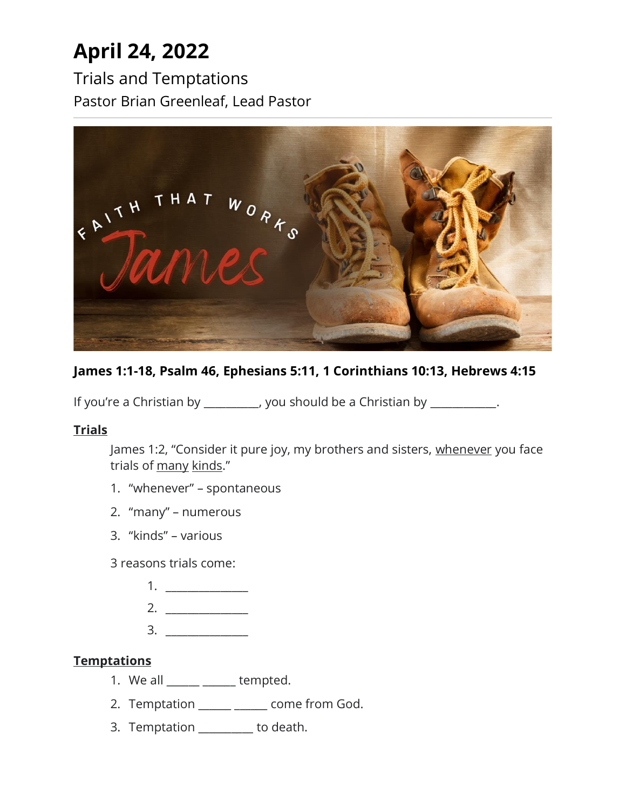# **April 24, 2022**

Trials and Temptations Pastor Brian Greenleaf, Lead Pastor



## **James 1:1-18, Psalm 46, Ephesians 5:11, 1 Corinthians 10:13, Hebrews 4:15**

If you're a Christian by \_\_\_\_\_\_\_\_\_, you should be a Christian by \_\_\_\_\_\_\_\_\_\_.

### **Trials**

James 1:2, "Consider it pure joy, my brothers and sisters, whenever you face trials of many kinds."

- 1. "whenever" spontaneous
- 2. "many" numerous
- 3. "kinds" various

3 reasons trials come:

- 1. \_\_\_\_\_\_\_\_\_\_\_\_\_\_\_
- 2. \_\_\_\_\_\_\_\_\_\_\_\_\_\_\_
- $3.$

#### **Temptations**

- 1. We all  $\frac{1}{\sqrt{1-\frac{1}{\sqrt{1-\frac{1}{\sqrt{1-\frac{1}{\sqrt{1-\frac{1}{\sqrt{1-\frac{1}{\sqrt{1-\frac{1}{\sqrt{1-\frac{1}{\sqrt{1-\frac{1}{\sqrt{1-\frac{1}{\sqrt{1-\frac{1}{\sqrt{1-\frac{1}{\sqrt{1-\frac{1}{\sqrt{1-\frac{1}{\sqrt{1-\frac{1}{\sqrt{1-\frac{1}{\sqrt{1-\frac{1}{\sqrt{1-\frac{1}{\sqrt{1-\frac{1}{\sqrt{1-\frac{1}{\sqrt{1-\frac{1}{\sqrt{1-\frac{1}{\sqrt{1-\frac{1}{\sqrt{1-\frac{$
- 2. Temptation \_\_\_\_\_ \_\_\_\_\_ come from God.
- 3. Temptation \_\_\_\_\_\_\_\_\_\_ to death.